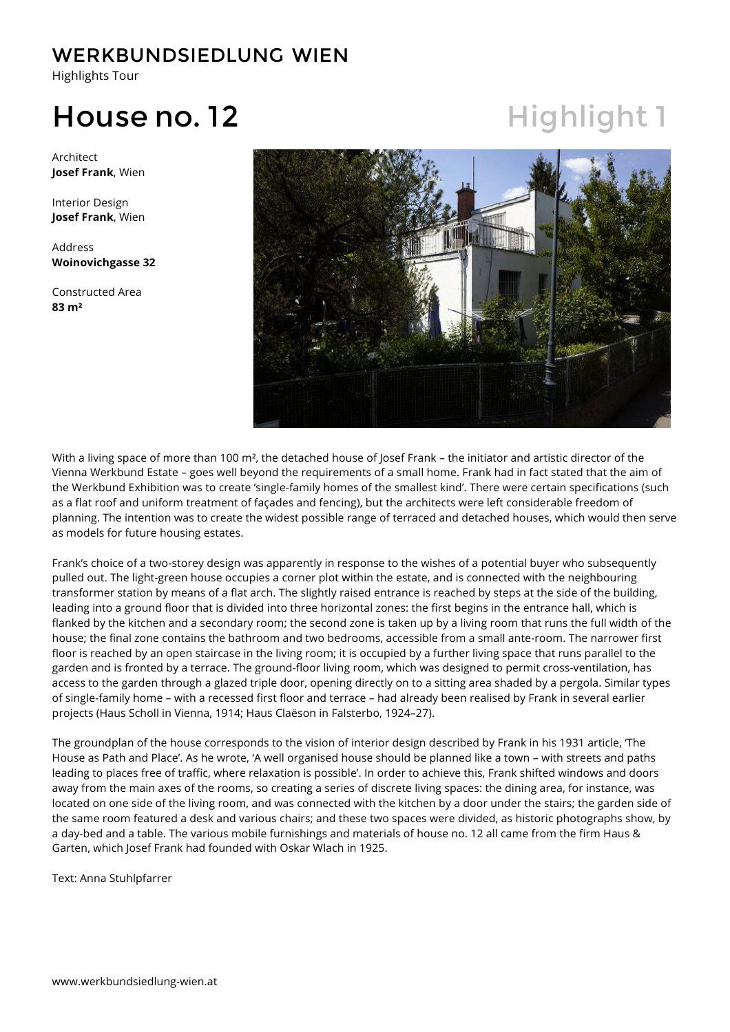Highlights Tour

## House no. 12 Highlight 1

Architect **Josef Frank**, Wien

Interior Design **Josef Frank**, Wien

Address **Woinovichgasse 32**

Constructed Area **83 m²**



With a living space of more than 100 m², the detached house of Josef Frank – the initiator and artistic director of the Vienna Werkbund Estate – goes well beyond the requirements of a small home. Frank had in fact stated that the aim of the Werkbund Exhibition was to create 'single-family homes of the smallest kind'. There were certain specifications (such as a flat roof and uniform treatment of façades and fencing), but the architects were left considerable freedom of planning. The intention was to create the widest possible range of terraced and detached houses, which would then serve as models for future housing estates.

Frank's choice of a two-storey design was apparently in response to the wishes of a potential buyer who subsequently pulled out. The light-green house occupies a corner plot within the estate, and is connected with the neighbouring transformer station by means of a flat arch. The slightly raised entrance is reached by steps at the side of the building, leading into a ground floor that is divided into three horizontal zones: the first begins in the entrance hall, which is flanked by the kitchen and a secondary room; the second zone is taken up by a living room that runs the full width of the house; the final zone contains the bathroom and two bedrooms, accessible from a small ante-room. The narrower first floor is reached by an open staircase in the living room; it is occupied by a further living space that runs parallel to the garden and is fronted by a terrace. The ground-floor living room, which was designed to permit cross-ventilation, has access to the garden through a glazed triple door, opening directly on to a sitting area shaded by a pergola. Similar types of single-family home – with a recessed first floor and terrace – had already been realised by Frank in several earlier projects (Haus Scholl in Vienna, 1914; Haus Claëson in Falsterbo, 1924–27).

The groundplan of the house corresponds to the vision of interior design described by Frank in his 1931 article, 'The House as Path and Place'. As he wrote, 'A well organised house should be planned like a town – with streets and paths leading to places free of traffic, where relaxation is possible'. In order to achieve this, Frank shifted windows and doors away from the main axes of the rooms, so creating a series of discrete living spaces: the dining area, for instance, was located on one side of the living room, and was connected with the kitchen by a door under the stairs; the garden side of the same room featured a desk and various chairs; and these two spaces were divided, as historic photographs show, by a day-bed and a table. The various mobile furnishings and materials of house no. 12 all came from the firm Haus & Garten, which Josef Frank had founded with Oskar Wlach in 1925.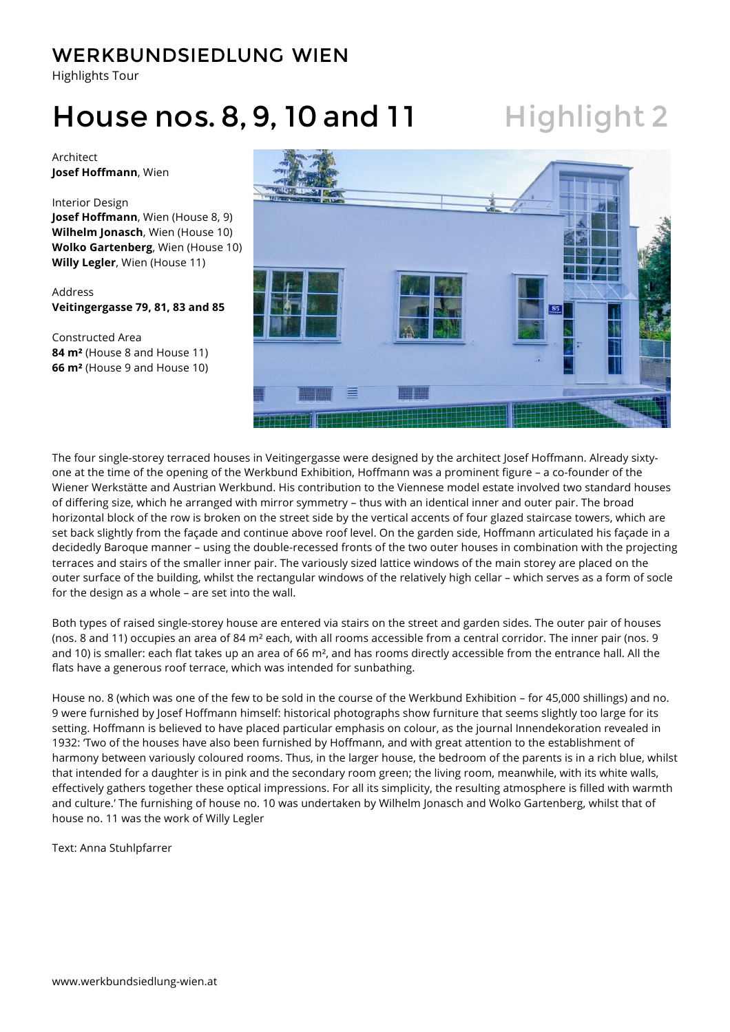Highlights Tour

## House nos. 8, 9, 10 and 11 Highlight 2

Architect **Josef Hoffmann**, Wien

#### Interior Design

**Josef Hoffmann**, Wien (House 8, 9) **Wilhelm Jonasch**, Wien (House 10) **Wolko Gartenberg**, Wien (House 10) **Willy Legler**, Wien (House 11)

Address **Veitingergasse 79, 81, 83 and 85**

Constructed Area **84 m²** (House 8 and House 11) **66 m²** (House 9 and House 10)



The four single-storey terraced houses in Veitingergasse were designed by the architect Josef Hoffmann. Already sixtyone at the time of the opening of the Werkbund Exhibition, Hoffmann was a prominent figure – a co-founder of the Wiener Werkstätte and Austrian Werkbund. His contribution to the Viennese model estate involved two standard houses of differing size, which he arranged with mirror symmetry – thus with an identical inner and outer pair. The broad horizontal block of the row is broken on the street side by the vertical accents of four glazed staircase towers, which are set back slightly from the façade and continue above roof level. On the garden side, Hoffmann articulated his façade in a decidedly Baroque manner – using the double-recessed fronts of the two outer houses in combination with the projecting terraces and stairs of the smaller inner pair. The variously sized lattice windows of the main storey are placed on the outer surface of the building, whilst the rectangular windows of the relatively high cellar – which serves as a form of socle for the design as a whole – are set into the wall.

Both types of raised single-storey house are entered via stairs on the street and garden sides. The outer pair of houses (nos. 8 and 11) occupies an area of 84 m² each, with all rooms accessible from a central corridor. The inner pair (nos. 9 and 10) is smaller: each flat takes up an area of 66 m², and has rooms directly accessible from the entrance hall. All the flats have a generous roof terrace, which was intended for sunbathing.

House no. 8 (which was one of the few to be sold in the course of the Werkbund Exhibition – for 45,000 shillings) and no. 9 were furnished by Josef Hoffmann himself: historical photographs show furniture that seems slightly too large for its setting. Hoffmann is believed to have placed particular emphasis on colour, as the journal Innendekoration revealed in 1932: 'Two of the houses have also been furnished by Hoffmann, and with great attention to the establishment of harmony between variously coloured rooms. Thus, in the larger house, the bedroom of the parents is in a rich blue, whilst that intended for a daughter is in pink and the secondary room green; the living room, meanwhile, with its white walls, effectively gathers together these optical impressions. For all its simplicity, the resulting atmosphere is filled with warmth and culture.' The furnishing of house no. 10 was undertaken by Wilhelm Jonasch and Wolko Gartenberg, whilst that of house no. 11 was the work of Willy Legler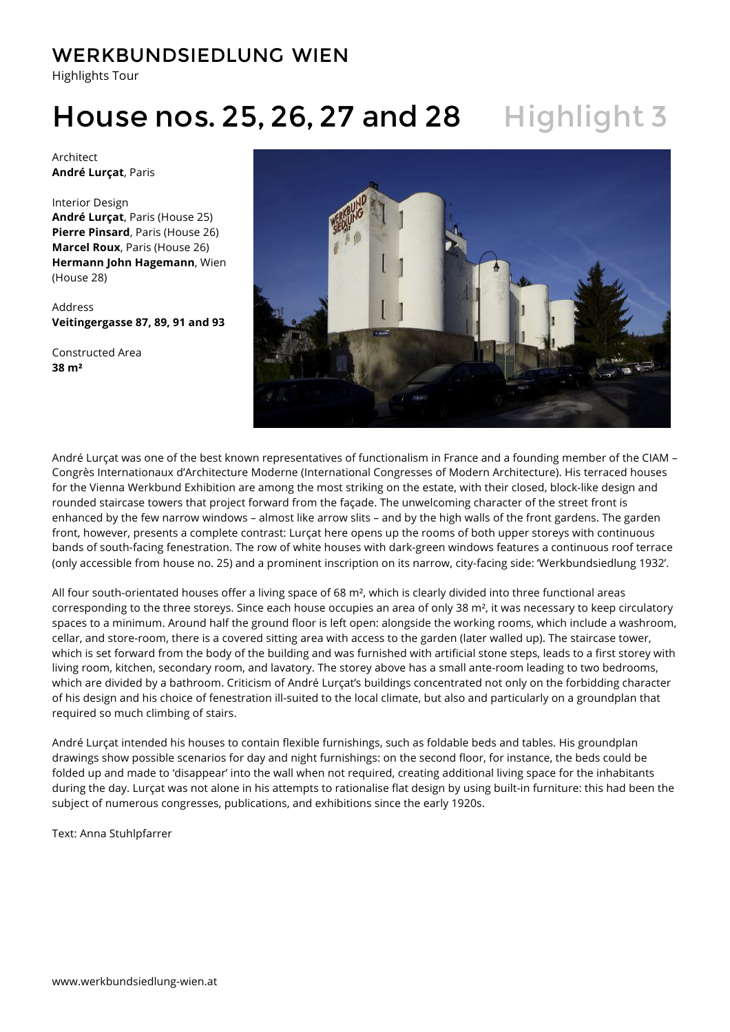Highlights Tour

# House nos. 25, 26, 27 and 28 Highlight 3

Architect **André Lurçat**, Paris

Interior Design **André Lurçat**, Paris (House 25) **Pierre Pinsard**, Paris (House 26) **Marcel Roux**, Paris (House 26) **Hermann John Hagemann**, Wien (House 28)

Address **Veitingergasse 87, 89, 91 and 93**

Constructed Area **38 m²**



André Lurçat was one of the best known representatives of functionalism in France and a founding member of the CIAM – Congrès Internationaux d'Architecture Moderne (International Congresses of Modern Architecture). His terraced houses for the Vienna Werkbund Exhibition are among the most striking on the estate, with their closed, block-like design and rounded staircase towers that project forward from the façade. The unwelcoming character of the street front is enhanced by the few narrow windows – almost like arrow slits – and by the high walls of the front gardens. The garden front, however, presents a complete contrast: Lurçat here opens up the rooms of both upper storeys with continuous bands of south-facing fenestration. The row of white houses with dark-green windows features a continuous roof terrace (only accessible from house no. 25) and a prominent inscription on its narrow, city-facing side: 'Werkbundsiedlung 1932'.

All four south-orientated houses offer a living space of 68 m<sup>2</sup>, which is clearly divided into three functional areas corresponding to the three storeys. Since each house occupies an area of only 38 m<sup>2</sup>, it was necessary to keep circulatory spaces to a minimum. Around half the ground floor is left open: alongside the working rooms, which include a washroom, cellar, and store-room, there is a covered sitting area with access to the garden (later walled up). The staircase tower, which is set forward from the body of the building and was furnished with artificial stone steps, leads to a first storey with living room, kitchen, secondary room, and lavatory. The storey above has a small ante-room leading to two bedrooms, which are divided by a bathroom. Criticism of André Lurçat's buildings concentrated not only on the forbidding character of his design and his choice of fenestration ill-suited to the local climate, but also and particularly on a groundplan that required so much climbing of stairs.

André Lurçat intended his houses to contain flexible furnishings, such as foldable beds and tables. His groundplan drawings show possible scenarios for day and night furnishings: on the second floor, for instance, the beds could be folded up and made to 'disappear' into the wall when not required, creating additional living space for the inhabitants during the day. Lurçat was not alone in his attempts to rationalise flat design by using built-in furniture: this had been the subject of numerous congresses, publications, and exhibitions since the early 1920s.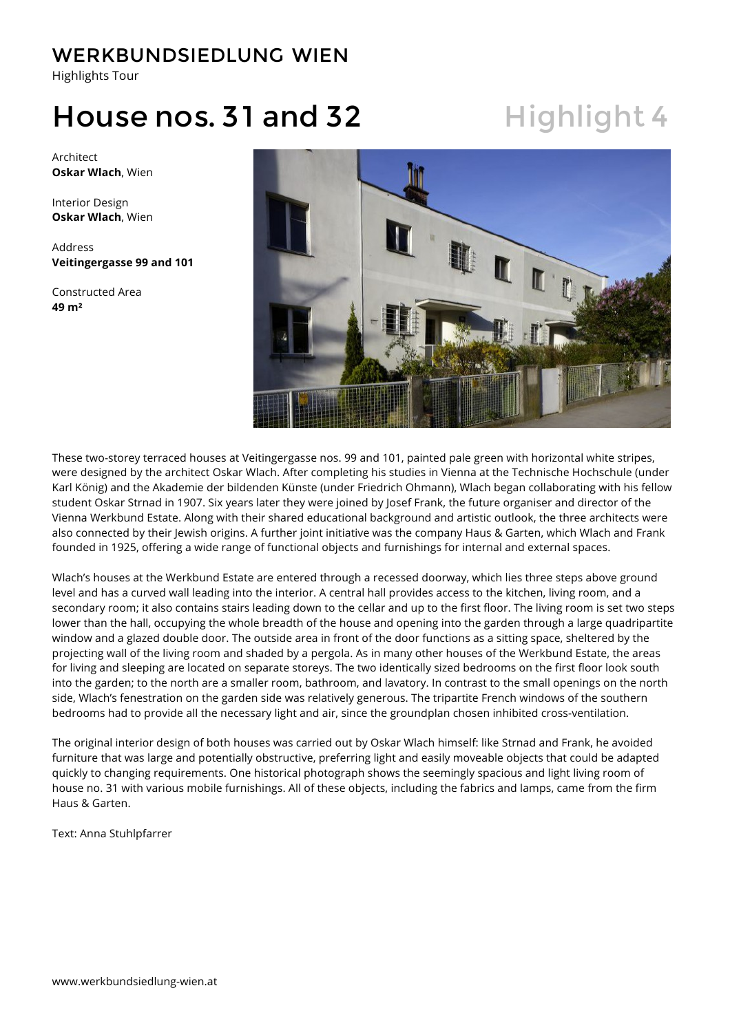Highlights Tour

## House nos. 31 and 32 Highlight 4

Architect **Oskar Wlach**, Wien

Interior Design **Oskar Wlach**, Wien

Address **Veitingergasse 99 and 101**

Constructed Area **49 m²**



These two-storey terraced houses at Veitingergasse nos. 99 and 101, painted pale green with horizontal white stripes, were designed by the architect Oskar Wlach. After completing his studies in Vienna at the Technische Hochschule (under Karl König) and the Akademie der bildenden Künste (under Friedrich Ohmann), Wlach began collaborating with his fellow student Oskar Strnad in 1907. Six years later they were joined by Josef Frank, the future organiser and director of the Vienna Werkbund Estate. Along with their shared educational background and artistic outlook, the three architects were also connected by their Jewish origins. A further joint initiative was the company Haus & Garten, which Wlach and Frank founded in 1925, offering a wide range of functional objects and furnishings for internal and external spaces.

Wlach's houses at the Werkbund Estate are entered through a recessed doorway, which lies three steps above ground level and has a curved wall leading into the interior. A central hall provides access to the kitchen, living room, and a secondary room; it also contains stairs leading down to the cellar and up to the first floor. The living room is set two steps lower than the hall, occupying the whole breadth of the house and opening into the garden through a large quadripartite window and a glazed double door. The outside area in front of the door functions as a sitting space, sheltered by the projecting wall of the living room and shaded by a pergola. As in many other houses of the Werkbund Estate, the areas for living and sleeping are located on separate storeys. The two identically sized bedrooms on the first floor look south into the garden; to the north are a smaller room, bathroom, and lavatory. In contrast to the small openings on the north side, Wlach's fenestration on the garden side was relatively generous. The tripartite French windows of the southern bedrooms had to provide all the necessary light and air, since the groundplan chosen inhibited cross-ventilation.

The original interior design of both houses was carried out by Oskar Wlach himself: like Strnad and Frank, he avoided furniture that was large and potentially obstructive, preferring light and easily moveable objects that could be adapted quickly to changing requirements. One historical photograph shows the seemingly spacious and light living room of house no. 31 with various mobile furnishings. All of these objects, including the fabrics and lamps, came from the firm Haus & Garten.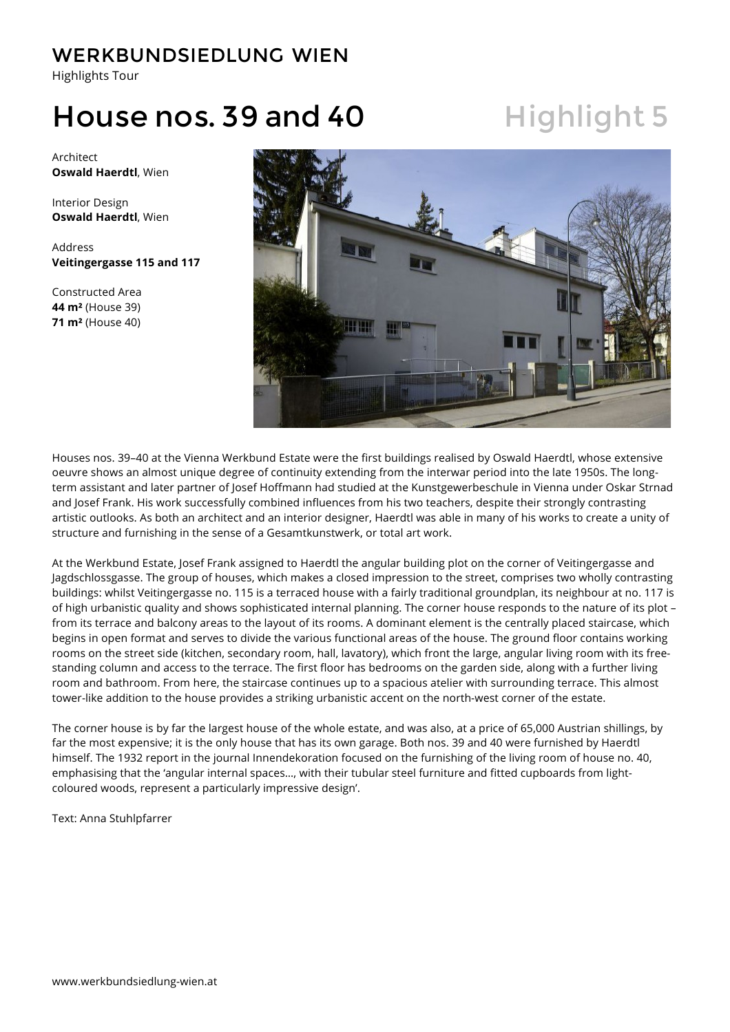Highlights Tour

## House nos. 39 and 40 Highlight 5

Architect **Oswald Haerdtl**, Wien

Interior Design **Oswald Haerdtl**, Wien

Address **Veitingergasse 115 and 117**

Constructed Area **44 m²** (House 39) **71 m²** (House 40)



Houses nos. 39–40 at the Vienna Werkbund Estate were the first buildings realised by Oswald Haerdtl, whose extensive oeuvre shows an almost unique degree of continuity extending from the interwar period into the late 1950s. The longterm assistant and later partner of Josef Hoffmann had studied at the Kunstgewerbeschule in Vienna under Oskar Strnad and Josef Frank. His work successfully combined influences from his two teachers, despite their strongly contrasting artistic outlooks. As both an architect and an interior designer, Haerdtl was able in many of his works to create a unity of structure and furnishing in the sense of a Gesamtkunstwerk, or total art work.

At the Werkbund Estate, Josef Frank assigned to Haerdtl the angular building plot on the corner of Veitingergasse and Jagdschlossgasse. The group of houses, which makes a closed impression to the street, comprises two wholly contrasting buildings: whilst Veitingergasse no. 115 is a terraced house with a fairly traditional groundplan, its neighbour at no. 117 is of high urbanistic quality and shows sophisticated internal planning. The corner house responds to the nature of its plot – from its terrace and balcony areas to the layout of its rooms. A dominant element is the centrally placed staircase, which begins in open format and serves to divide the various functional areas of the house. The ground floor contains working rooms on the street side (kitchen, secondary room, hall, lavatory), which front the large, angular living room with its freestanding column and access to the terrace. The first floor has bedrooms on the garden side, along with a further living room and bathroom. From here, the staircase continues up to a spacious atelier with surrounding terrace. This almost tower-like addition to the house provides a striking urbanistic accent on the north-west corner of the estate.

The corner house is by far the largest house of the whole estate, and was also, at a price of 65,000 Austrian shillings, by far the most expensive; it is the only house that has its own garage. Both nos. 39 and 40 were furnished by Haerdtl himself. The 1932 report in the journal Innendekoration focused on the furnishing of the living room of house no. 40, emphasising that the 'angular internal spaces…, with their tubular steel furniture and fitted cupboards from lightcoloured woods, represent a particularly impressive design'.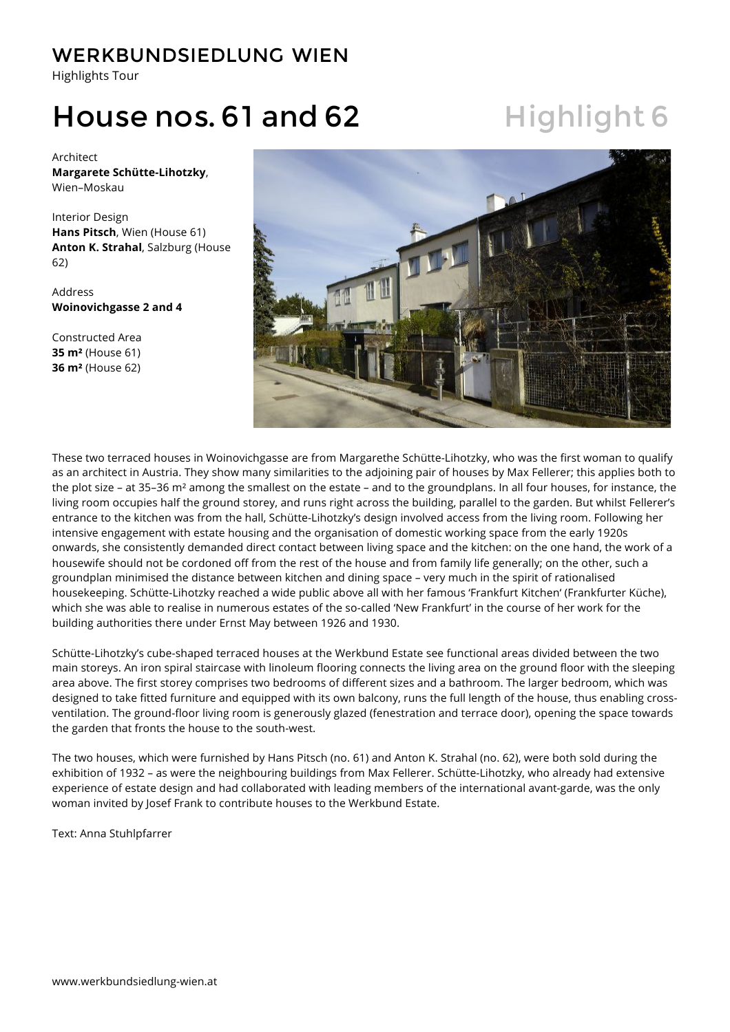Highlights Tour

## House nos. 61 and 62 Highlight 6

Architect **Margarete Schütte-Lihotzky**, Wien–Moskau

Interior Design **Hans Pitsch**, Wien (House 61) **Anton K. Strahal**, Salzburg (House 62)

Address **Woinovichgasse 2 and 4**

Constructed Area **35 m²** (House 61) **36 m²** (House 62)



These two terraced houses in Woinovichgasse are from Margarethe Schütte-Lihotzky, who was the first woman to qualify as an architect in Austria. They show many similarities to the adjoining pair of houses by Max Fellerer; this applies both to the plot size – at 35–36 m² among the smallest on the estate – and to the groundplans. In all four houses, for instance, the living room occupies half the ground storey, and runs right across the building, parallel to the garden. But whilst Fellerer's entrance to the kitchen was from the hall, Schütte-Lihotzky's design involved access from the living room. Following her intensive engagement with estate housing and the organisation of domestic working space from the early 1920s onwards, she consistently demanded direct contact between living space and the kitchen: on the one hand, the work of a housewife should not be cordoned off from the rest of the house and from family life generally; on the other, such a groundplan minimised the distance between kitchen and dining space – very much in the spirit of rationalised housekeeping. Schütte-Lihotzky reached a wide public above all with her famous 'Frankfurt Kitchen' (Frankfurter Küche), which she was able to realise in numerous estates of the so-called 'New Frankfurt' in the course of her work for the building authorities there under Ernst May between 1926 and 1930.

Schütte-Lihotzky's cube-shaped terraced houses at the Werkbund Estate see functional areas divided between the two main storeys. An iron spiral staircase with linoleum flooring connects the living area on the ground floor with the sleeping area above. The first storey comprises two bedrooms of different sizes and a bathroom. The larger bedroom, which was designed to take fitted furniture and equipped with its own balcony, runs the full length of the house, thus enabling crossventilation. The ground-floor living room is generously glazed (fenestration and terrace door), opening the space towards the garden that fronts the house to the south-west.

The two houses, which were furnished by Hans Pitsch (no. 61) and Anton K. Strahal (no. 62), were both sold during the exhibition of 1932 – as were the neighbouring buildings from Max Fellerer. Schütte-Lihotzky, who already had extensive experience of estate design and had collaborated with leading members of the international avant-garde, was the only woman invited by Josef Frank to contribute houses to the Werkbund Estate.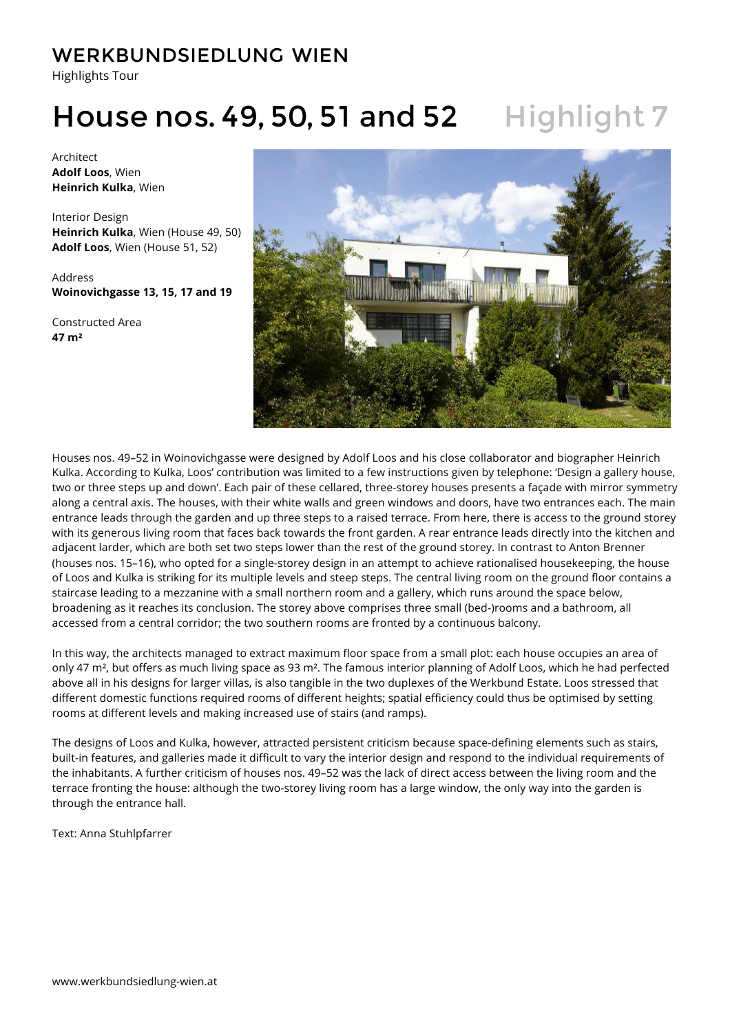Highlights Tour

## House nos. 49, 50, 51 and 52 Highlight 7

Architect **Adolf Loos**, Wien **Heinrich Kulka**, Wien

Interior Design **Heinrich Kulka**, Wien (House 49, 50) **Adolf Loos**, Wien (House 51, 52)

Address **Woinovichgasse 13, 15, 17 and 19**

Constructed Area **47 m²**



Houses nos. 49–52 in Woinovichgasse were designed by Adolf Loos and his close collaborator and biographer Heinrich Kulka. According to Kulka, Loos' contribution was limited to a few instructions given by telephone: 'Design a gallery house, two or three steps up and down'. Each pair of these cellared, three-storey houses presents a façade with mirror symmetry along a central axis. The houses, with their white walls and green windows and doors, have two entrances each. The main entrance leads through the garden and up three steps to a raised terrace. From here, there is access to the ground storey with its generous living room that faces back towards the front garden. A rear entrance leads directly into the kitchen and adjacent larder, which are both set two steps lower than the rest of the ground storey. In contrast to Anton Brenner (houses nos. 15–16), who opted for a single-storey design in an attempt to achieve rationalised housekeeping, the house of Loos and Kulka is striking for its multiple levels and steep steps. The central living room on the ground floor contains a staircase leading to a mezzanine with a small northern room and a gallery, which runs around the space below, broadening as it reaches its conclusion. The storey above comprises three small (bed-)rooms and a bathroom, all accessed from a central corridor; the two southern rooms are fronted by a continuous balcony.

In this way, the architects managed to extract maximum floor space from a small plot: each house occupies an area of only 47 m<sup>2</sup>, but offers as much living space as 93 m<sup>2</sup>. The famous interior planning of Adolf Loos, which he had perfected above all in his designs for larger villas, is also tangible in the two duplexes of the Werkbund Estate. Loos stressed that different domestic functions required rooms of different heights; spatial efficiency could thus be optimised by setting rooms at different levels and making increased use of stairs (and ramps).

The designs of Loos and Kulka, however, attracted persistent criticism because space-defining elements such as stairs, built-in features, and galleries made it difficult to vary the interior design and respond to the individual requirements of the inhabitants. A further criticism of houses nos. 49–52 was the lack of direct access between the living room and the terrace fronting the house: although the two-storey living room has a large window, the only way into the garden is through the entrance hall.